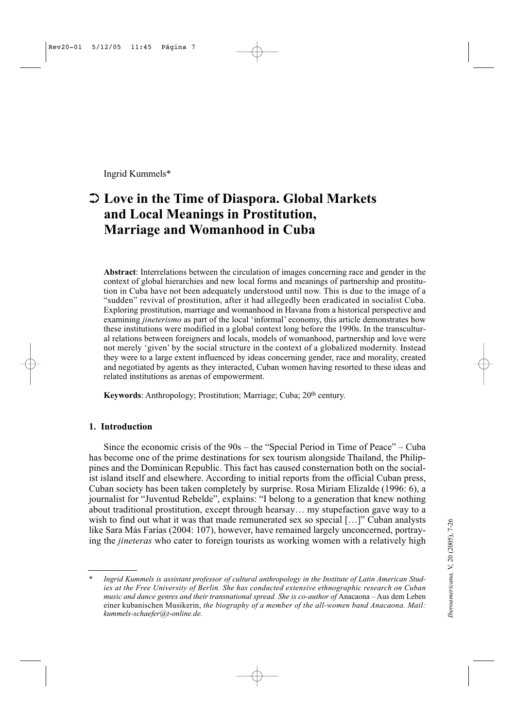Ingrid Kummels\*

# ➲ **Love in the Time of Diaspora. Global Markets and Local Meanings in Prostitution, Marriage and Womanhood in Cuba**

**Abstract**: Interrelations between the circulation of images concerning race and gender in the context of global hierarchies and new local forms and meanings of partnership and prostitution in Cuba have not been adequately understood until now. This is due to the image of a "sudden" revival of prostitution, after it had allegedly been eradicated in socialist Cuba. Exploring prostitution, marriage and womanhood in Havana from a historical perspective and examining *jineterismo* as part of the local 'informal' economy, this article demonstrates how these institutions were modified in a global context long before the 1990s. In the transcultural relations between foreigners and locals, models of womanhood, partnership and love were not merely 'given' by the social structure in the context of a globalized modernity. Instead they were to a large extent influenced by ideas concerning gender, race and morality, created and negotiated by agents as they interacted, Cuban women having resorted to these ideas and related institutions as arenas of empowerment.

**Keywords**: Anthropology; Prostitution; Marriage; Cuba; 20<sup>th</sup> century.

## **1. Introduction**

Since the economic crisis of the 90s – the "Special Period in Time of Peace" – Cuba has become one of the prime destinations for sex tourism alongside Thailand, the Philippines and the Dominican Republic. This fact has caused consternation both on the socialist island itself and elsewhere. According to initial reports from the official Cuban press, Cuban society has been taken completely by surprise. Rosa Miriam Elizalde (1996: 6), a journalist for "Juventud Rebelde", explains: "I belong to a generation that knew nothing about traditional prostitution, except through hearsay… my stupefaction gave way to a wish to find out what it was that made remunerated sex so special [...]" Cuban analysts like Sara Más Farías (2004: 107), however, have remained largely unconcerned, portraying the *jineteras* who cater to foreign tourists as working women with a relatively high

<sup>\*</sup> *Ingrid Kummels is assistant professor of cultural anthropology in the Institute of Latin American Studies at the Free University of Berlin. She has conducted extensive ethnographic research on Cuban music and dance genres and their transnational spread. She is co-author of Anacaona - Aus dem Leben* einer kubanischen Musikerin, *the biography of a member of the all-women band Anacaona. Mail: kummels-schaefer@t-online.de.*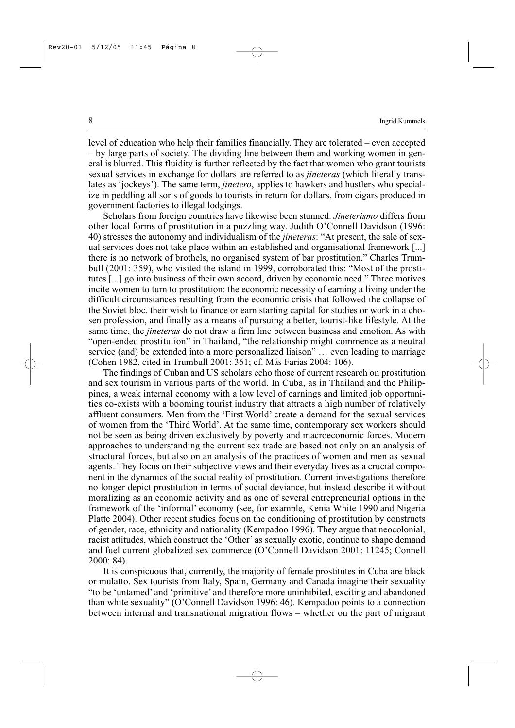level of education who help their families financially. They are tolerated – even accepted – by large parts of society. The dividing line between them and working women in general is blurred. This fluidity is further reflected by the fact that women who grant tourists sexual services in exchange for dollars are referred to as *jineteras* (which literally translates as 'jockeys'). The same term, *jinetero*, applies to hawkers and hustlers who specialize in peddling all sorts of goods to tourists in return for dollars, from cigars produced in government factories to illegal lodgings.

Scholars from foreign countries have likewise been stunned. *Jineterismo* differs from other local forms of prostitution in a puzzling way. Judith O'Connell Davidson (1996: 40) stresses the autonomy and individualism of the *jineteras*: "At present, the sale of sexual services does not take place within an established and organisational framework [...] there is no network of brothels, no organised system of bar prostitution." Charles Trumbull (2001: 359), who visited the island in 1999, corroborated this: "Most of the prostitutes [...] go into business of their own accord, driven by economic need." Three motives incite women to turn to prostitution: the economic necessity of earning a living under the difficult circumstances resulting from the economic crisis that followed the collapse of the Soviet bloc, their wish to finance or earn starting capital for studies or work in a chosen profession, and finally as a means of pursuing a better, tourist-like lifestyle. At the same time, the *jineteras* do not draw a firm line between business and emotion. As with "open-ended prostitution" in Thailand, "the relationship might commence as a neutral service (and) be extended into a more personalized liaison" … even leading to marriage (Cohen 1982, cited in Trumbull 2001: 361; cf. Más Farías 2004: 106).

The findings of Cuban and US scholars echo those of current research on prostitution and sex tourism in various parts of the world. In Cuba, as in Thailand and the Philippines, a weak internal economy with a low level of earnings and limited job opportunities co-exists with a booming tourist industry that attracts a high number of relatively affluent consumers. Men from the 'First World' create a demand for the sexual services of women from the 'Third World'. At the same time, contemporary sex workers should not be seen as being driven exclusively by poverty and macroeconomic forces. Modern approaches to understanding the current sex trade are based not only on an analysis of structural forces, but also on an analysis of the practices of women and men as sexual agents. They focus on their subjective views and their everyday lives as a crucial component in the dynamics of the social reality of prostitution. Current investigations therefore no longer depict prostitution in terms of social deviance, but instead describe it without moralizing as an economic activity and as one of several entrepreneurial options in the framework of the 'informal' economy (see, for example, Kenia White 1990 and Nigeria Platte 2004). Other recent studies focus on the conditioning of prostitution by constructs of gender, race, ethnicity and nationality (Kempadoo 1996). They argue that neocolonial, racist attitudes, which construct the 'Other' as sexually exotic, continue to shape demand and fuel current globalized sex commerce (O'Connell Davidson 2001: 11245; Connell 2000: 84).

It is conspicuous that, currently, the majority of female prostitutes in Cuba are black or mulatto. Sex tourists from Italy, Spain, Germany and Canada imagine their sexuality "to be 'untamed' and 'primitive' and therefore more uninhibited, exciting and abandoned than white sexuality" (O'Connell Davidson 1996: 46). Kempadoo points to a connection between internal and transnational migration flows – whether on the part of migrant

#### Rev20-01 5/12/05 11:45 Página 8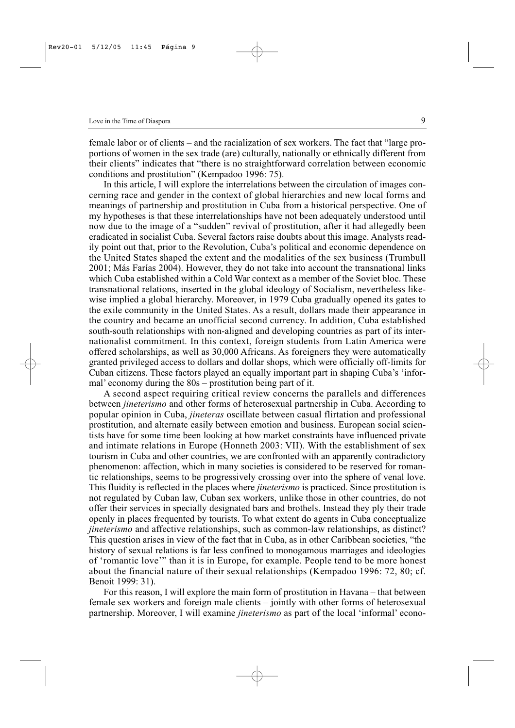female labor or of clients – and the racialization of sex workers. The fact that "large proportions of women in the sex trade (are) culturally, nationally or ethnically different from their clients" indicates that "there is no straightforward correlation between economic conditions and prostitution" (Kempadoo 1996: 75).

In this article, I will explore the interrelations between the circulation of images concerning race and gender in the context of global hierarchies and new local forms and meanings of partnership and prostitution in Cuba from a historical perspective. One of my hypotheses is that these interrelationships have not been adequately understood until now due to the image of a "sudden" revival of prostitution, after it had allegedly been eradicated in socialist Cuba. Several factors raise doubts about this image. Analysts readily point out that, prior to the Revolution, Cuba's political and economic dependence on the United States shaped the extent and the modalities of the sex business (Trumbull 2001; Más Farías 2004). However, they do not take into account the transnational links which Cuba established within a Cold War context as a member of the Soviet bloc. These transnational relations, inserted in the global ideology of Socialism, nevertheless likewise implied a global hierarchy. Moreover, in 1979 Cuba gradually opened its gates to the exile community in the United States. As a result, dollars made their appearance in the country and became an unofficial second currency. In addition, Cuba established south-south relationships with non-aligned and developing countries as part of its internationalist commitment. In this context, foreign students from Latin America were offered scholarships, as well as 30,000 Africans. As foreigners they were automatically granted privileged access to dollars and dollar shops, which were officially off-limits for Cuban citizens. These factors played an equally important part in shaping Cuba's 'informal' economy during the 80s – prostitution being part of it.

A second aspect requiring critical review concerns the parallels and differences between *jineterismo* and other forms of heterosexual partnership in Cuba. According to popular opinion in Cuba, *jineteras* oscillate between casual flirtation and professional prostitution, and alternate easily between emotion and business. European social scientists have for some time been looking at how market constraints have influenced private and intimate relations in Europe (Honneth 2003: VII). With the establishment of sex tourism in Cuba and other countries, we are confronted with an apparently contradictory phenomenon: affection, which in many societies is considered to be reserved for romantic relationships, seems to be progressively crossing over into the sphere of venal love. This fluidity is reflected in the places where *jineterismo* is practiced. Since prostitution is not regulated by Cuban law, Cuban sex workers, unlike those in other countries, do not offer their services in specially designated bars and brothels. Instead they ply their trade openly in places frequented by tourists. To what extent do agents in Cuba conceptualize *jineterismo* and affective relationships, such as common-law relationships, as distinct? This question arises in view of the fact that in Cuba, as in other Caribbean societies, "the history of sexual relations is far less confined to monogamous marriages and ideologies of 'romantic love'" than it is in Europe, for example. People tend to be more honest about the financial nature of their sexual relationships (Kempadoo 1996: 72, 80; cf. Benoit 1999: 31).

For this reason, I will explore the main form of prostitution in Havana – that between female sex workers and foreign male clients – jointly with other forms of heterosexual partnership. Moreover, I will examine *jineterismo* as part of the local 'informal' econo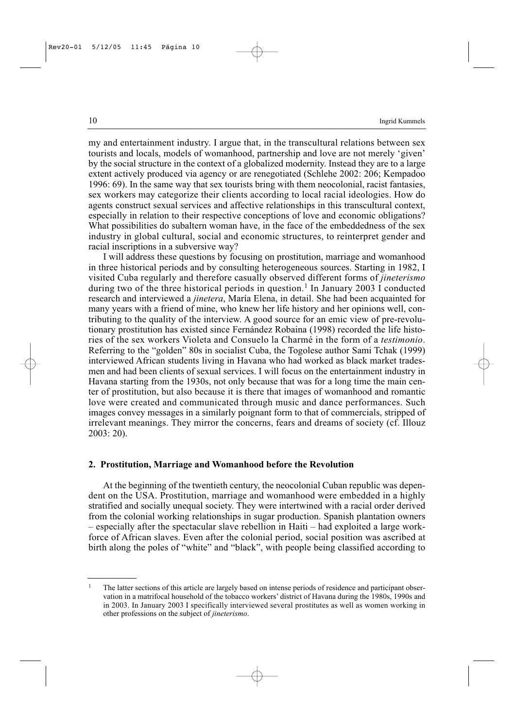10 Ingrid Kummels

my and entertainment industry. I argue that, in the transcultural relations between sex tourists and locals, models of womanhood, partnership and love are not merely 'given' by the social structure in the context of a globalized modernity. Instead they are to a large extent actively produced via agency or are renegotiated (Schlehe 2002: 206; Kempadoo 1996: 69). In the same way that sex tourists bring with them neocolonial, racist fantasies, sex workers may categorize their clients according to local racial ideologies. How do agents construct sexual services and affective relationships in this transcultural context, especially in relation to their respective conceptions of love and economic obligations? What possibilities do subaltern woman have, in the face of the embeddedness of the sex industry in global cultural, social and economic structures, to reinterpret gender and racial inscriptions in a subversive way?

I will address these questions by focusing on prostitution, marriage and womanhood in three historical periods and by consulting heterogeneous sources. Starting in 1982, I visited Cuba regularly and therefore casually observed different forms of *jineterismo* during two of the three historical periods in question.<sup>1</sup> In January 2003 I conducted research and interviewed a *jinetera*, María Elena, in detail. She had been acquainted for many years with a friend of mine, who knew her life history and her opinions well, contributing to the quality of the interview. A good source for an emic view of pre-revolutionary prostitution has existed since Fernández Robaina (1998) recorded the life histories of the sex workers Violeta and Consuelo la Charmé in the form of a *testimonio*. Referring to the "golden" 80s in socialist Cuba, the Togolese author Sami Tchak (1999) interviewed African students living in Havana who had worked as black market tradesmen and had been clients of sexual services. I will focus on the entertainment industry in Havana starting from the 1930s, not only because that was for a long time the main center of prostitution, but also because it is there that images of womanhood and romantic love were created and communicated through music and dance performances. Such images convey messages in a similarly poignant form to that of commercials, stripped of irrelevant meanings. They mirror the concerns, fears and dreams of society (cf. Illouz 2003: 20).

## **2. Prostitution, Marriage and Womanhood before the Revolution**

At the beginning of the twentieth century, the neocolonial Cuban republic was dependent on the USA. Prostitution, marriage and womanhood were embedded in a highly stratified and socially unequal society. They were intertwined with a racial order derived from the colonial working relationships in sugar production. Spanish plantation owners – especially after the spectacular slave rebellion in Haiti – had exploited a large workforce of African slaves. Even after the colonial period, social position was ascribed at birth along the poles of "white" and "black", with people being classified according to

<sup>1</sup> The latter sections of this article are largely based on intense periods of residence and participant observation in a matrifocal household of the tobacco workers' district of Havana during the 1980s, 1990s and in 2003. In January 2003 I specifically interviewed several prostitutes as well as women working in other professions on the subject of *jineterismo*.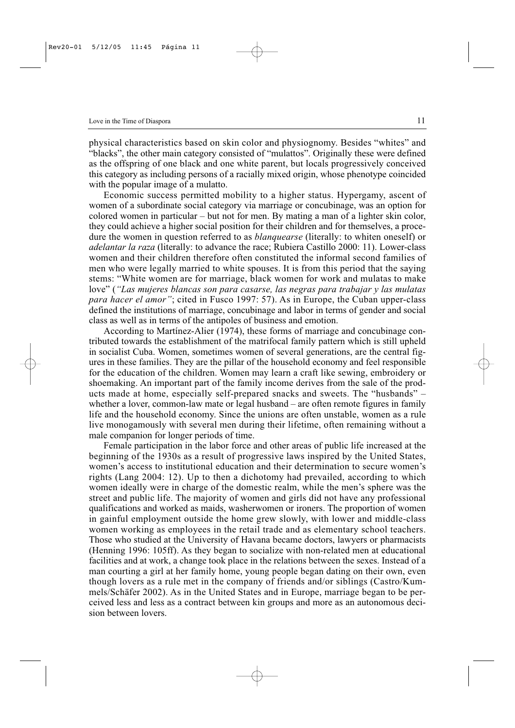physical characteristics based on skin color and physiognomy. Besides "whites" and "blacks", the other main category consisted of "mulattos". Originally these were defined as the offspring of one black and one white parent, but locals progressively conceived this category as including persons of a racially mixed origin, whose phenotype coincided with the popular image of a mulatto.

Economic success permitted mobility to a higher status. Hypergamy, ascent of women of a subordinate social category via marriage or concubinage, was an option for colored women in particular – but not for men. By mating a man of a lighter skin color, they could achieve a higher social position for their children and for themselves, a procedure the women in question referred to as *blanquearse* (literally: to whiten oneself) or *adelantar la raza* (literally: to advance the race; Rubiera Castillo 2000: 11). Lower-class women and their children therefore often constituted the informal second families of men who were legally married to white spouses. It is from this period that the saying stems: "White women are for marriage, black women for work and mulatas to make love" (*"Las mujeres blancas son para casarse, las negras para trabajar y las mulatas para hacer el amor"*; cited in Fusco 1997: 57). As in Europe, the Cuban upper-class defined the institutions of marriage, concubinage and labor in terms of gender and social class as well as in terms of the antipoles of business and emotion.

According to Martínez-Alier (1974), these forms of marriage and concubinage contributed towards the establishment of the matrifocal family pattern which is still upheld in socialist Cuba. Women, sometimes women of several generations, are the central figures in these families. They are the pillar of the household economy and feel responsible for the education of the children. Women may learn a craft like sewing, embroidery or shoemaking. An important part of the family income derives from the sale of the products made at home, especially self-prepared snacks and sweets. The "husbands" – whether a lover, common-law mate or legal husband – are often remote figures in family life and the household economy. Since the unions are often unstable, women as a rule live monogamously with several men during their lifetime, often remaining without a male companion for longer periods of time.

Female participation in the labor force and other areas of public life increased at the beginning of the 1930s as a result of progressive laws inspired by the United States, women's access to institutional education and their determination to secure women's rights (Lang 2004: 12). Up to then a dichotomy had prevailed, according to which women ideally were in charge of the domestic realm, while the men's sphere was the street and public life. The majority of women and girls did not have any professional qualifications and worked as maids, washerwomen or ironers. The proportion of women in gainful employment outside the home grew slowly, with lower and middle-class women working as employees in the retail trade and as elementary school teachers. Those who studied at the University of Havana became doctors, lawyers or pharmacists (Henning 1996: 105ff). As they began to socialize with non-related men at educational facilities and at work, a change took place in the relations between the sexes. Instead of a man courting a girl at her family home, young people began dating on their own, even though lovers as a rule met in the company of friends and/or siblings (Castro/Kummels/Schäfer 2002). As in the United States and in Europe, marriage began to be perceived less and less as a contract between kin groups and more as an autonomous decision between lovers.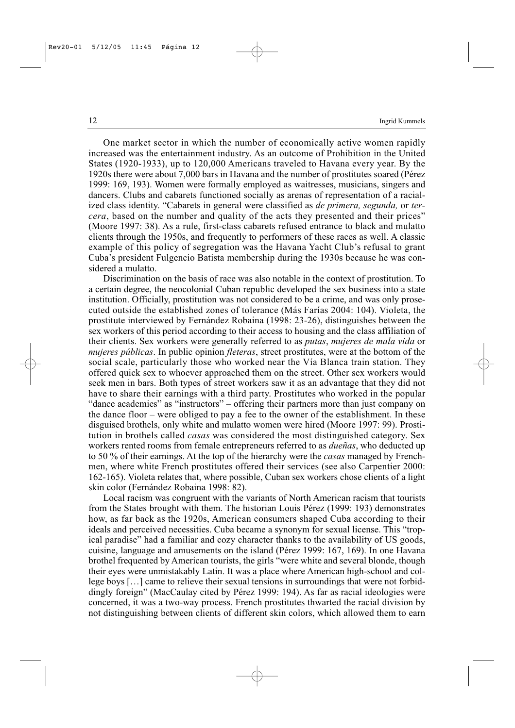12 Ingrid Kummels

One market sector in which the number of economically active women rapidly increased was the entertainment industry. As an outcome of Prohibition in the United States (1920-1933), up to 120,000 Americans traveled to Havana every year. By the 1920s there were about 7,000 bars in Havana and the number of prostitutes soared (Pérez 1999: 169, 193). Women were formally employed as waitresses, musicians, singers and dancers. Clubs and cabarets functioned socially as arenas of representation of a racialized class identity. "Cabarets in general were classified as *de primera, segunda,* or *tercera*, based on the number and quality of the acts they presented and their prices" (Moore 1997: 38). As a rule, first-class cabarets refused entrance to black and mulatto clients through the 1950s, and frequently to performers of these races as well. A classic example of this policy of segregation was the Havana Yacht Club's refusal to grant Cuba's president Fulgencio Batista membership during the 1930s because he was considered a mulatto.

Discrimination on the basis of race was also notable in the context of prostitution. To a certain degree, the neocolonial Cuban republic developed the sex business into a state institution. Officially, prostitution was not considered to be a crime, and was only prosecuted outside the established zones of tolerance (Más Farías 2004: 104). Violeta, the prostitute interviewed by Fernández Robaina (1998: 23-26), distinguishes between the sex workers of this period according to their access to housing and the class affiliation of their clients. Sex workers were generally referred to as *putas*, *mujeres de mala vida* or *mujeres públicas*. In public opinion *fleteras*, street prostitutes, were at the bottom of the social scale, particularly those who worked near the Vía Blanca train station. They offered quick sex to whoever approached them on the street. Other sex workers would seek men in bars. Both types of street workers saw it as an advantage that they did not have to share their earnings with a third party. Prostitutes who worked in the popular "dance academies" as "instructors" – offering their partners more than just company on the dance floor – were obliged to pay a fee to the owner of the establishment. In these disguised brothels, only white and mulatto women were hired (Moore 1997: 99). Prostitution in brothels called *casas* was considered the most distinguished category. Sex workers rented rooms from female entrepreneurs referred to as *dueñas*, who deducted up to 50 % of their earnings. At the top of the hierarchy were the *casas* managed by Frenchmen, where white French prostitutes offered their services (see also Carpentier 2000: 162-165). Violeta relates that, where possible, Cuban sex workers chose clients of a light skin color (Fernández Robaina 1998: 82).

Local racism was congruent with the variants of North American racism that tourists from the States brought with them. The historian Louis Pérez (1999: 193) demonstrates how, as far back as the 1920s, American consumers shaped Cuba according to their ideals and perceived necessities. Cuba became a synonym for sexual license. This "tropical paradise" had a familiar and cozy character thanks to the availability of US goods, cuisine, language and amusements on the island (Pérez 1999: 167, 169). In one Havana brothel frequented by American tourists, the girls "were white and several blonde, though their eyes were unmistakably Latin. It was a place where American high-school and college boys […] came to relieve their sexual tensions in surroundings that were not forbiddingly foreign" (MacCaulay cited by Pérez 1999: 194). As far as racial ideologies were concerned, it was a two-way process. French prostitutes thwarted the racial division by not distinguishing between clients of different skin colors, which allowed them to earn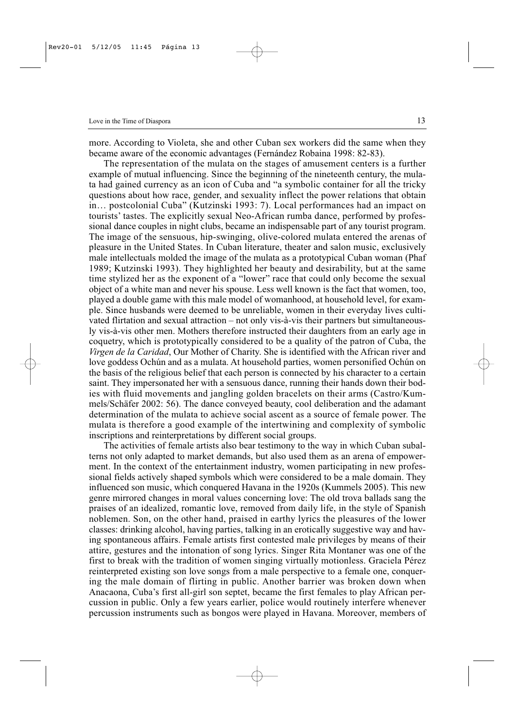more. According to Violeta, she and other Cuban sex workers did the same when they became aware of the economic advantages (Fernández Robaina 1998: 82-83).

The representation of the mulata on the stages of amusement centers is a further example of mutual influencing. Since the beginning of the nineteenth century, the mulata had gained currency as an icon of Cuba and "a symbolic container for all the tricky questions about how race, gender, and sexuality inflect the power relations that obtain in… postcolonial Cuba" (Kutzinski 1993: 7). Local performances had an impact on tourists' tastes. The explicitly sexual Neo-African rumba dance, performed by professional dance couples in night clubs, became an indispensable part of any tourist program. The image of the sensuous, hip-swinging, olive-colored mulata entered the arenas of pleasure in the United States. In Cuban literature, theater and salon music, exclusively male intellectuals molded the image of the mulata as a prototypical Cuban woman (Phaf 1989; Kutzinski 1993). They highlighted her beauty and desirability, but at the same time stylized her as the exponent of a "lower" race that could only become the sexual object of a white man and never his spouse. Less well known is the fact that women, too, played a double game with this male model of womanhood, at household level, for example. Since husbands were deemed to be unreliable, women in their everyday lives cultivated flirtation and sexual attraction – not only vis-à-vis their partners but simultaneously vis-à-vis other men. Mothers therefore instructed their daughters from an early age in coquetry, which is prototypically considered to be a quality of the patron of Cuba, the *Virgen de la Caridad*, Our Mother of Charity. She is identified with the African river and love goddess Ochún and as a mulata. At household parties, women personified Ochún on the basis of the religious belief that each person is connected by his character to a certain saint. They impersonated her with a sensuous dance, running their hands down their bodies with fluid movements and jangling golden bracelets on their arms (Castro/Kummels/Schäfer 2002: 56). The dance conveyed beauty, cool deliberation and the adamant determination of the mulata to achieve social ascent as a source of female power. The mulata is therefore a good example of the intertwining and complexity of symbolic inscriptions and reinterpretations by different social groups.

The activities of female artists also bear testimony to the way in which Cuban subalterns not only adapted to market demands, but also used them as an arena of empowerment. In the context of the entertainment industry, women participating in new professional fields actively shaped symbols which were considered to be a male domain. They influenced son music, which conquered Havana in the 1920s (Kummels 2005). This new genre mirrored changes in moral values concerning love: The old trova ballads sang the praises of an idealized, romantic love, removed from daily life, in the style of Spanish noblemen. Son, on the other hand, praised in earthy lyrics the pleasures of the lower classes: drinking alcohol, having parties, talking in an erotically suggestive way and having spontaneous affairs. Female artists first contested male privileges by means of their attire, gestures and the intonation of song lyrics. Singer Rita Montaner was one of the first to break with the tradition of women singing virtually motionless. Graciela Pérez reinterpreted existing son love songs from a male perspective to a female one, conquering the male domain of flirting in public. Another barrier was broken down when Anacaona, Cuba's first all-girl son septet, became the first females to play African percussion in public. Only a few years earlier, police would routinely interfere whenever percussion instruments such as bongos were played in Havana. Moreover, members of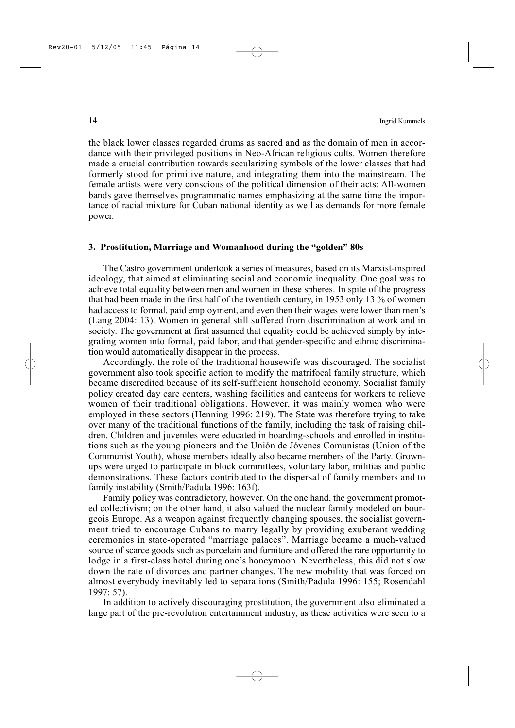the black lower classes regarded drums as sacred and as the domain of men in accordance with their privileged positions in Neo-African religious cults. Women therefore made a crucial contribution towards secularizing symbols of the lower classes that had formerly stood for primitive nature, and integrating them into the mainstream. The female artists were very conscious of the political dimension of their acts: All-women bands gave themselves programmatic names emphasizing at the same time the importance of racial mixture for Cuban national identity as well as demands for more female power.

## **3. Prostitution, Marriage and Womanhood during the "golden" 80s**

The Castro government undertook a series of measures, based on its Marxist-inspired ideology, that aimed at eliminating social and economic inequality. One goal was to achieve total equality between men and women in these spheres. In spite of the progress that had been made in the first half of the twentieth century, in 1953 only 13 % of women had access to formal, paid employment, and even then their wages were lower than men's (Lang 2004: 13). Women in general still suffered from discrimination at work and in society. The government at first assumed that equality could be achieved simply by integrating women into formal, paid labor, and that gender-specific and ethnic discrimination would automatically disappear in the process.

Accordingly, the role of the traditional housewife was discouraged. The socialist government also took specific action to modify the matrifocal family structure, which became discredited because of its self-sufficient household economy. Socialist family policy created day care centers, washing facilities and canteens for workers to relieve women of their traditional obligations. However, it was mainly women who were employed in these sectors (Henning 1996: 219). The State was therefore trying to take over many of the traditional functions of the family, including the task of raising children. Children and juveniles were educated in boarding-schools and enrolled in institutions such as the young pioneers and the Unión de Jóvenes Comunistas (Union of the Communist Youth), whose members ideally also became members of the Party. Grownups were urged to participate in block committees, voluntary labor, militias and public demonstrations. These factors contributed to the dispersal of family members and to family instability (Smith/Padula 1996: 163f).

Family policy was contradictory, however. On the one hand, the government promoted collectivism; on the other hand, it also valued the nuclear family modeled on bourgeois Europe. As a weapon against frequently changing spouses, the socialist government tried to encourage Cubans to marry legally by providing exuberant wedding ceremonies in state-operated "marriage palaces". Marriage became a much-valued source of scarce goods such as porcelain and furniture and offered the rare opportunity to lodge in a first-class hotel during one's honeymoon. Nevertheless, this did not slow down the rate of divorces and partner changes. The new mobility that was forced on almost everybody inevitably led to separations (Smith/Padula 1996: 155; Rosendahl 1997: 57).

In addition to actively discouraging prostitution, the government also eliminated a large part of the pre-revolution entertainment industry, as these activities were seen to a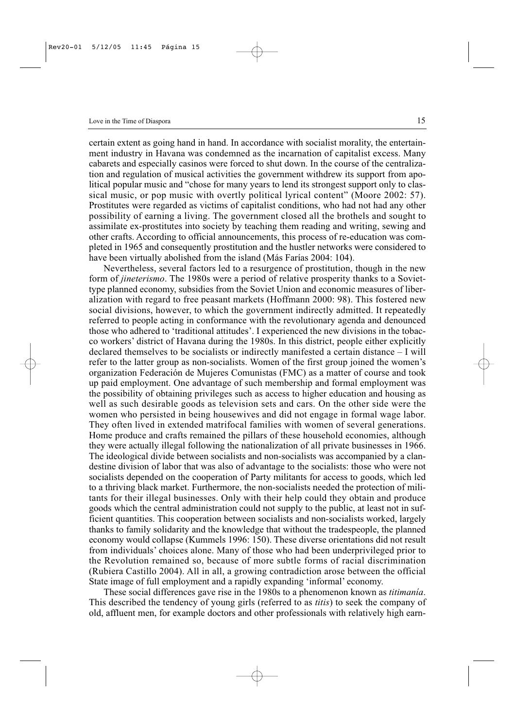certain extent as going hand in hand. In accordance with socialist morality, the entertainment industry in Havana was condemned as the incarnation of capitalist excess. Many cabarets and especially casinos were forced to shut down. In the course of the centralization and regulation of musical activities the government withdrew its support from apolitical popular music and "chose for many years to lend its strongest support only to classical music, or pop music with overtly political lyrical content" (Moore 2002: 57). Prostitutes were regarded as victims of capitalist conditions, who had not had any other possibility of earning a living. The government closed all the brothels and sought to assimilate ex-prostitutes into society by teaching them reading and writing, sewing and other crafts. According to official announcements, this process of re-education was completed in 1965 and consequently prostitution and the hustler networks were considered to have been virtually abolished from the island (Más Farías 2004: 104).

Nevertheless, several factors led to a resurgence of prostitution, though in the new form of *jineterismo*. The 1980s were a period of relative prosperity thanks to a Soviettype planned economy, subsidies from the Soviet Union and economic measures of liberalization with regard to free peasant markets (Hoffmann 2000: 98). This fostered new social divisions, however, to which the government indirectly admitted. It repeatedly referred to people acting in conformance with the revolutionary agenda and denounced those who adhered to 'traditional attitudes'. I experienced the new divisions in the tobacco workers' district of Havana during the 1980s. In this district, people either explicitly declared themselves to be socialists or indirectly manifested a certain distance – I will refer to the latter group as non-socialists. Women of the first group joined the women's organization Federación de Mujeres Comunistas (FMC) as a matter of course and took up paid employment. One advantage of such membership and formal employment was the possibility of obtaining privileges such as access to higher education and housing as well as such desirable goods as television sets and cars. On the other side were the women who persisted in being housewives and did not engage in formal wage labor. They often lived in extended matrifocal families with women of several generations. Home produce and crafts remained the pillars of these household economies, although they were actually illegal following the nationalization of all private businesses in 1966. The ideological divide between socialists and non-socialists was accompanied by a clandestine division of labor that was also of advantage to the socialists: those who were not socialists depended on the cooperation of Party militants for access to goods, which led to a thriving black market. Furthermore, the non-socialists needed the protection of militants for their illegal businesses. Only with their help could they obtain and produce goods which the central administration could not supply to the public, at least not in sufficient quantities. This cooperation between socialists and non-socialists worked, largely thanks to family solidarity and the knowledge that without the tradespeople, the planned economy would collapse (Kummels 1996: 150). These diverse orientations did not result from individuals' choices alone. Many of those who had been underprivileged prior to the Revolution remained so, because of more subtle forms of racial discrimination (Rubiera Castillo 2004). All in all, a growing contradiction arose between the official State image of full employment and a rapidly expanding 'informal' economy.

These social differences gave rise in the 1980s to a phenomenon known as *titimanía*. This described the tendency of young girls (referred to as *titis*) to seek the company of old, affluent men, for example doctors and other professionals with relatively high earn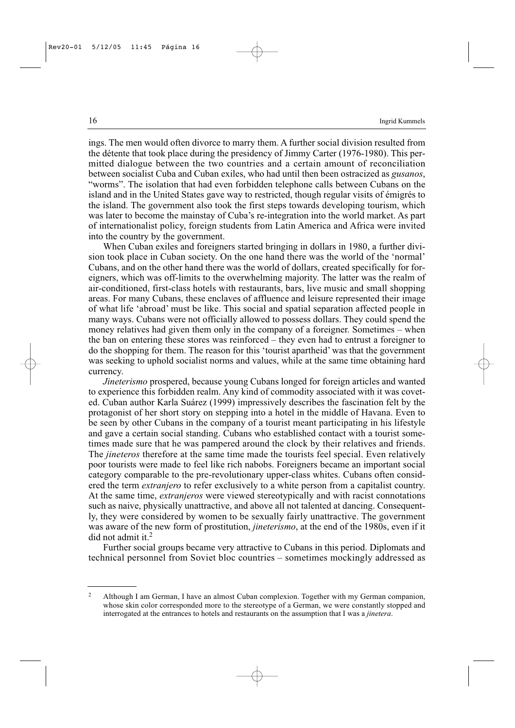Rev20-01 5/12/05 11:45 Página 16

16 Ingrid Kummels

ings. The men would often divorce to marry them. A further social division resulted from the détente that took place during the presidency of Jimmy Carter (1976-1980). This permitted dialogue between the two countries and a certain amount of reconciliation between socialist Cuba and Cuban exiles, who had until then been ostracized as *gusanos*, "worms". The isolation that had even forbidden telephone calls between Cubans on the island and in the United States gave way to restricted, though regular visits of émigrés to the island. The government also took the first steps towards developing tourism, which was later to become the mainstay of Cuba's re-integration into the world market. As part of internationalist policy, foreign students from Latin America and Africa were invited into the country by the government.

When Cuban exiles and foreigners started bringing in dollars in 1980, a further division took place in Cuban society. On the one hand there was the world of the 'normal' Cubans, and on the other hand there was the world of dollars, created specifically for foreigners, which was off-limits to the overwhelming majority. The latter was the realm of air-conditioned, first-class hotels with restaurants, bars, live music and small shopping areas. For many Cubans, these enclaves of affluence and leisure represented their image of what life 'abroad' must be like. This social and spatial separation affected people in many ways. Cubans were not officially allowed to possess dollars. They could spend the money relatives had given them only in the company of a foreigner. Sometimes – when the ban on entering these stores was reinforced – they even had to entrust a foreigner to do the shopping for them. The reason for this 'tourist apartheid' was that the government was seeking to uphold socialist norms and values, while at the same time obtaining hard currency.

*Jineterismo* prospered, because young Cubans longed for foreign articles and wanted to experience this forbidden realm. Any kind of commodity associated with it was coveted. Cuban author Karla Suárez (1999) impressively describes the fascination felt by the protagonist of her short story on stepping into a hotel in the middle of Havana. Even to be seen by other Cubans in the company of a tourist meant participating in his lifestyle and gave a certain social standing. Cubans who established contact with a tourist sometimes made sure that he was pampered around the clock by their relatives and friends. The *jineteros* therefore at the same time made the tourists feel special. Even relatively poor tourists were made to feel like rich nabobs. Foreigners became an important social category comparable to the pre-revolutionary upper-class whites. Cubans often considered the term *extranjero* to refer exclusively to a white person from a capitalist country. At the same time, *extranjeros* were viewed stereotypically and with racist connotations such as naive, physically unattractive, and above all not talented at dancing. Consequently, they were considered by women to be sexually fairly unattractive. The government was aware of the new form of prostitution, *jineterismo*, at the end of the 1980s, even if it did not admit it.2

Further social groups became very attractive to Cubans in this period. Diplomats and technical personnel from Soviet bloc countries – sometimes mockingly addressed as

<sup>2</sup> Although I am German, I have an almost Cuban complexion. Together with my German companion, whose skin color corresponded more to the stereotype of a German, we were constantly stopped and interrogated at the entrances to hotels and restaurants on the assumption that I was a *jinetera*.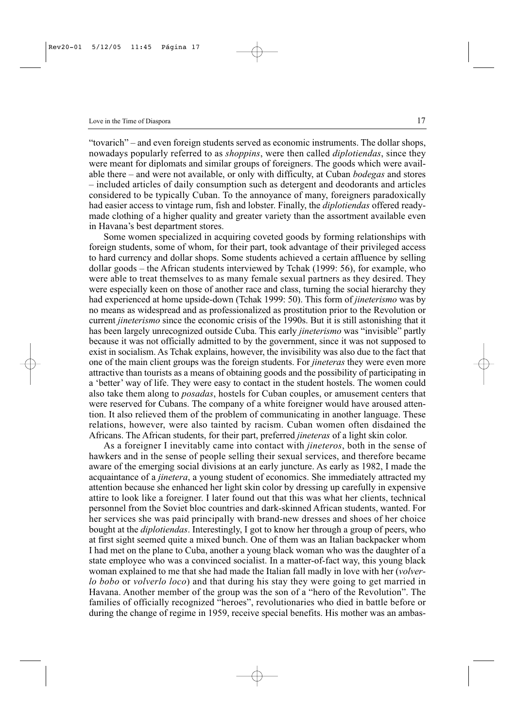"tovarich" – and even foreign students served as economic instruments. The dollar shops, nowadays popularly referred to as *shoppins*, were then called *diplotiendas*, since they were meant for diplomats and similar groups of foreigners. The goods which were available there – and were not available, or only with difficulty, at Cuban *bodegas* and stores – included articles of daily consumption such as detergent and deodorants and articles considered to be typically Cuban. To the annoyance of many, foreigners paradoxically had easier access to vintage rum, fish and lobster. Finally, the *diplotiendas* offered readymade clothing of a higher quality and greater variety than the assortment available even in Havana's best department stores.

Some women specialized in acquiring coveted goods by forming relationships with foreign students, some of whom, for their part, took advantage of their privileged access to hard currency and dollar shops. Some students achieved a certain affluence by selling dollar goods – the African students interviewed by Tchak (1999: 56), for example, who were able to treat themselves to as many female sexual partners as they desired. They were especially keen on those of another race and class, turning the social hierarchy they had experienced at home upside-down (Tchak 1999: 50). This form of *jineterismo* was by no means as widespread and as professionalized as prostitution prior to the Revolution or current *jineterismo* since the economic crisis of the 1990s. But it is still astonishing that it has been largely unrecognized outside Cuba. This early *jineterismo* was "invisible" partly because it was not officially admitted to by the government, since it was not supposed to exist in socialism. As Tchak explains, however, the invisibility was also due to the fact that one of the main client groups was the foreign students. For *jineteras* they were even more attractive than tourists as a means of obtaining goods and the possibility of participating in a 'better' way of life. They were easy to contact in the student hostels. The women could also take them along to *posadas*, hostels for Cuban couples, or amusement centers that were reserved for Cubans. The company of a white foreigner would have aroused attention. It also relieved them of the problem of communicating in another language. These relations, however, were also tainted by racism. Cuban women often disdained the Africans. The African students, for their part, preferred *jineteras* of a light skin color.

As a foreigner I inevitably came into contact with *jineteros*, both in the sense of hawkers and in the sense of people selling their sexual services, and therefore became aware of the emerging social divisions at an early juncture. As early as 1982, I made the acquaintance of a *jinetera*, a young student of economics. She immediately attracted my attention because she enhanced her light skin color by dressing up carefully in expensive attire to look like a foreigner. I later found out that this was what her clients, technical personnel from the Soviet bloc countries and dark-skinned African students, wanted. For her services she was paid principally with brand-new dresses and shoes of her choice bought at the *diplotiendas*. Interestingly, I got to know her through a group of peers, who at first sight seemed quite a mixed bunch. One of them was an Italian backpacker whom I had met on the plane to Cuba, another a young black woman who was the daughter of a state employee who was a convinced socialist. In a matter-of-fact way, this young black woman explained to me that she had made the Italian fall madly in love with her (*volverlo bobo* or *volverlo loco*) and that during his stay they were going to get married in Havana. Another member of the group was the son of a "hero of the Revolution". The families of officially recognized "heroes", revolutionaries who died in battle before or during the change of regime in 1959, receive special benefits. His mother was an ambas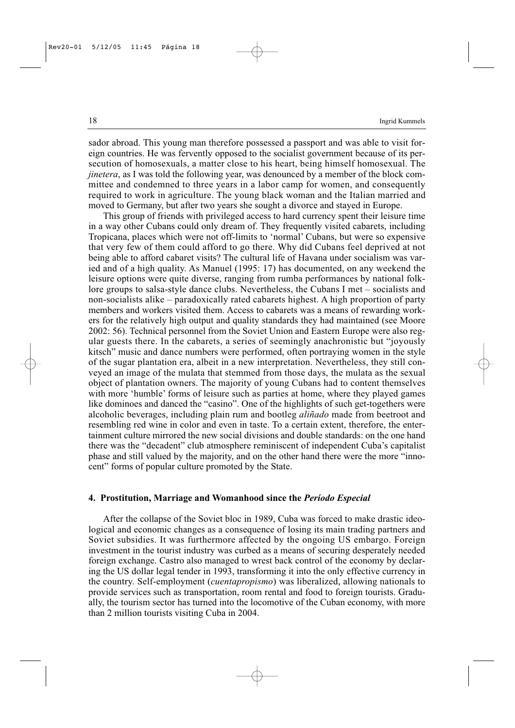18 Ingrid Kummels

sador abroad. This young man therefore possessed a passport and was able to visit foreign countries. He was fervently opposed to the socialist government because of its persecution of homosexuals, a matter close to his heart, being himself homosexual. The *jinetera*, as I was told the following year, was denounced by a member of the block committee and condemned to three years in a labor camp for women, and consequently required to work in agriculture. The young black woman and the Italian married and moved to Germany, but after two years she sought a divorce and stayed in Europe.

This group of friends with privileged access to hard currency spent their leisure time in a way other Cubans could only dream of. They frequently visited cabarets, including Tropicana, places which were not off-limits to 'normal' Cubans, but were so expensive that very few of them could afford to go there. Why did Cubans feel deprived at not being able to afford cabaret visits? The cultural life of Havana under socialism was varied and of a high quality. As Manuel (1995: 17) has documented, on any weekend the leisure options were quite diverse, ranging from rumba performances by national folklore groups to salsa-style dance clubs. Nevertheless, the Cubans I met – socialists and non-socialists alike – paradoxically rated cabarets highest. A high proportion of party members and workers visited them. Access to cabarets was a means of rewarding workers for the relatively high output and quality standards they had maintained (see Moore 2002: 56). Technical personnel from the Soviet Union and Eastern Europe were also regular guests there. In the cabarets, a series of seemingly anachronistic but "joyously kitsch" music and dance numbers were performed, often portraying women in the style of the sugar plantation era, albeit in a new interpretation. Nevertheless, they still conveyed an image of the mulata that stemmed from those days, the mulata as the sexual object of plantation owners. The majority of young Cubans had to content themselves with more 'humble' forms of leisure such as parties at home, where they played games like dominoes and danced the "casino". One of the highlights of such get-togethers were alcoholic beverages, including plain rum and bootleg *aliñado* made from beetroot and resembling red wine in color and even in taste. To a certain extent, therefore, the entertainment culture mirrored the new social divisions and double standards: on the one hand there was the "decadent" club atmosphere reminiscent of independent Cuba's capitalist phase and still valued by the majority, and on the other hand there were the more "innocent" forms of popular culture promoted by the State.

## **4. Prostitution, Marriage and Womanhood since the** *Período Especial*

After the collapse of the Soviet bloc in 1989, Cuba was forced to make drastic ideological and economic changes as a consequence of losing its main trading partners and Soviet subsidies. It was furthermore affected by the ongoing US embargo. Foreign investment in the tourist industry was curbed as a means of securing desperately needed foreign exchange. Castro also managed to wrest back control of the economy by declaring the US dollar legal tender in 1993, transforming it into the only effective currency in the country. Self-employment (*cuentapropismo*) was liberalized, allowing nationals to provide services such as transportation, room rental and food to foreign tourists. Gradually, the tourism sector has turned into the locomotive of the Cuban economy, with more than 2 million tourists visiting Cuba in 2004.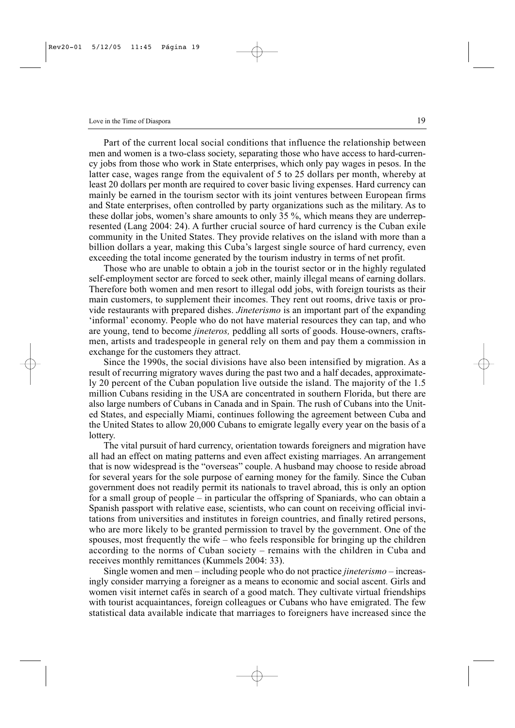Part of the current local social conditions that influence the relationship between men and women is a two-class society, separating those who have access to hard-currency jobs from those who work in State enterprises, which only pay wages in pesos. In the latter case, wages range from the equivalent of 5 to 25 dollars per month, whereby at least 20 dollars per month are required to cover basic living expenses. Hard currency can mainly be earned in the tourism sector with its joint ventures between European firms and State enterprises, often controlled by party organizations such as the military. As to these dollar jobs, women's share amounts to only 35 %, which means they are underrepresented (Lang 2004: 24). A further crucial source of hard currency is the Cuban exile community in the United States. They provide relatives on the island with more than a billion dollars a year, making this Cuba's largest single source of hard currency, even exceeding the total income generated by the tourism industry in terms of net profit.

Those who are unable to obtain a job in the tourist sector or in the highly regulated self-employment sector are forced to seek other, mainly illegal means of earning dollars. Therefore both women and men resort to illegal odd jobs, with foreign tourists as their main customers, to supplement their incomes. They rent out rooms, drive taxis or provide restaurants with prepared dishes. *Jineterismo* is an important part of the expanding 'informal' economy. People who do not have material resources they can tap, and who are young, tend to become *jineteros,* peddling all sorts of goods. House-owners, craftsmen, artists and tradespeople in general rely on them and pay them a commission in exchange for the customers they attract.

Since the 1990s, the social divisions have also been intensified by migration. As a result of recurring migratory waves during the past two and a half decades, approximately 20 percent of the Cuban population live outside the island. The majority of the 1.5 million Cubans residing in the USA are concentrated in southern Florida, but there are also large numbers of Cubans in Canada and in Spain. The rush of Cubans into the United States, and especially Miami, continues following the agreement between Cuba and the United States to allow 20,000 Cubans to emigrate legally every year on the basis of a lottery.

The vital pursuit of hard currency, orientation towards foreigners and migration have all had an effect on mating patterns and even affect existing marriages. An arrangement that is now widespread is the "overseas" couple. A husband may choose to reside abroad for several years for the sole purpose of earning money for the family. Since the Cuban government does not readily permit its nationals to travel abroad, this is only an option for a small group of people – in particular the offspring of Spaniards, who can obtain a Spanish passport with relative ease, scientists, who can count on receiving official invitations from universities and institutes in foreign countries, and finally retired persons, who are more likely to be granted permission to travel by the government. One of the spouses, most frequently the wife – who feels responsible for bringing up the children according to the norms of Cuban society – remains with the children in Cuba and receives monthly remittances (Kummels 2004: 33).

Single women and men – including people who do not practice *jineterismo* – increasingly consider marrying a foreigner as a means to economic and social ascent. Girls and women visit internet cafés in search of a good match. They cultivate virtual friendships with tourist acquaintances, foreign colleagues or Cubans who have emigrated. The few statistical data available indicate that marriages to foreigners have increased since the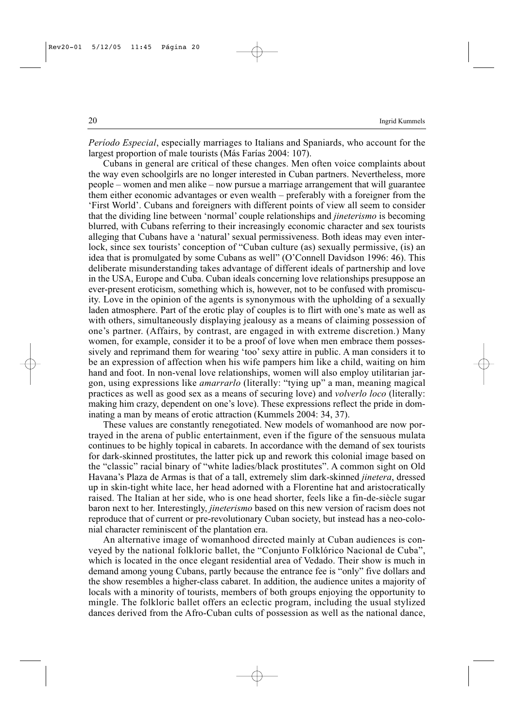*Período Especial*, especially marriages to Italians and Spaniards, who account for the largest proportion of male tourists (Más Farías 2004: 107).

Cubans in general are critical of these changes. Men often voice complaints about the way even schoolgirls are no longer interested in Cuban partners. Nevertheless, more people – women and men alike – now pursue a marriage arrangement that will guarantee them either economic advantages or even wealth – preferably with a foreigner from the 'First World'. Cubans and foreigners with different points of view all seem to consider that the dividing line between 'normal' couple relationships and *jineterismo* is becoming blurred, with Cubans referring to their increasingly economic character and sex tourists alleging that Cubans have a 'natural' sexual permissiveness. Both ideas may even interlock, since sex tourists' conception of "Cuban culture (as) sexually permissive, (is) an idea that is promulgated by some Cubans as well" (O'Connell Davidson 1996: 46). This deliberate misunderstanding takes advantage of different ideals of partnership and love in the USA, Europe and Cuba. Cuban ideals concerning love relationships presuppose an ever-present eroticism, something which is, however, not to be confused with promiscuity. Love in the opinion of the agents is synonymous with the upholding of a sexually laden atmosphere. Part of the erotic play of couples is to flirt with one's mate as well as with others, simultaneously displaying jealousy as a means of claiming possession of one's partner. (Affairs, by contrast, are engaged in with extreme discretion.) Many women, for example, consider it to be a proof of love when men embrace them possessively and reprimand them for wearing 'too' sexy attire in public. A man considers it to be an expression of affection when his wife pampers him like a child, waiting on him hand and foot. In non-venal love relationships, women will also employ utilitarian jargon, using expressions like *amarrarlo* (literally: "tying up" a man, meaning magical practices as well as good sex as a means of securing love) and *volverlo loco* (literally: making him crazy, dependent on one's love). These expressions reflect the pride in dominating a man by means of erotic attraction (Kummels 2004: 34, 37).

These values are constantly renegotiated. New models of womanhood are now portrayed in the arena of public entertainment, even if the figure of the sensuous mulata continues to be highly topical in cabarets. In accordance with the demand of sex tourists for dark-skinned prostitutes, the latter pick up and rework this colonial image based on the "classic" racial binary of "white ladies/black prostitutes". A common sight on Old Havana's Plaza de Armas is that of a tall, extremely slim dark-skinned *jinetera*, dressed up in skin-tight white lace, her head adorned with a Florentine hat and aristocratically raised. The Italian at her side, who is one head shorter, feels like a fin-de-siècle sugar baron next to her. Interestingly, *jineterismo* based on this new version of racism does not reproduce that of current or pre-revolutionary Cuban society, but instead has a neo-colonial character reminiscent of the plantation era.

An alternative image of womanhood directed mainly at Cuban audiences is conveyed by the national folkloric ballet, the "Conjunto Folklórico Nacional de Cuba", which is located in the once elegant residential area of Vedado. Their show is much in demand among young Cubans, partly because the entrance fee is "only" five dollars and the show resembles a higher-class cabaret. In addition, the audience unites a majority of locals with a minority of tourists, members of both groups enjoying the opportunity to mingle. The folkloric ballet offers an eclectic program, including the usual stylized dances derived from the Afro-Cuban cults of possession as well as the national dance,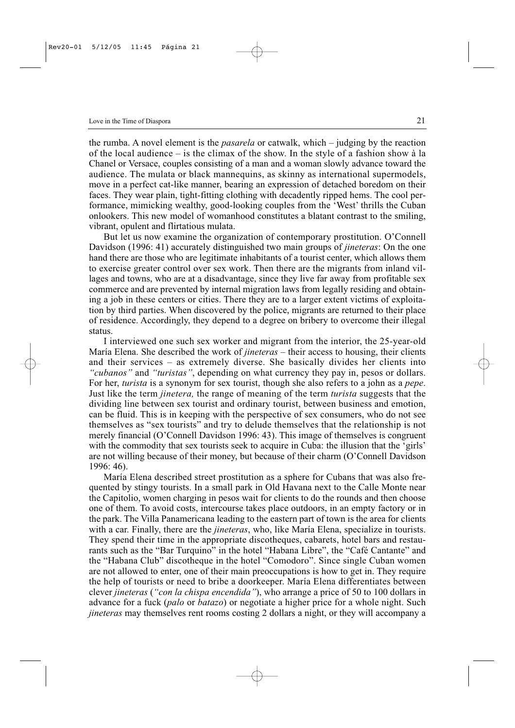the rumba. A novel element is the *pasarela* or catwalk, which – judging by the reaction of the local audience – is the climax of the show. In the style of a fashion show à la Chanel or Versace, couples consisting of a man and a woman slowly advance toward the audience. The mulata or black mannequins, as skinny as international supermodels, move in a perfect cat-like manner, bearing an expression of detached boredom on their faces. They wear plain, tight-fitting clothing with decadently ripped hems. The cool performance, mimicking wealthy, good-looking couples from the 'West' thrills the Cuban onlookers. This new model of womanhood constitutes a blatant contrast to the smiling, vibrant, opulent and flirtatious mulata.

But let us now examine the organization of contemporary prostitution. O'Connell Davidson (1996: 41) accurately distinguished two main groups of *jineteras*: On the one hand there are those who are legitimate inhabitants of a tourist center, which allows them to exercise greater control over sex work. Then there are the migrants from inland villages and towns, who are at a disadvantage, since they live far away from profitable sex commerce and are prevented by internal migration laws from legally residing and obtaining a job in these centers or cities. There they are to a larger extent victims of exploitation by third parties. When discovered by the police, migrants are returned to their place of residence. Accordingly, they depend to a degree on bribery to overcome their illegal status.

I interviewed one such sex worker and migrant from the interior, the 25-year-old María Elena. She described the work of *jineteras –* their access to housing, their clients and their services – as extremely diverse. She basically divides her clients into *"cubanos"* and *"turistas"*, depending on what currency they pay in, pesos or dollars. For her, *turista* is a synonym for sex tourist, though she also refers to a john as a *pepe*. Just like the term *jinetera,* the range of meaning of the term *turista* suggests that the dividing line between sex tourist and ordinary tourist, between business and emotion, can be fluid. This is in keeping with the perspective of sex consumers, who do not see themselves as "sex tourists" and try to delude themselves that the relationship is not merely financial (O'Connell Davidson 1996: 43). This image of themselves is congruent with the commodity that sex tourists seek to acquire in Cuba: the illusion that the 'girls' are not willing because of their money, but because of their charm (O'Connell Davidson 1996: 46).

María Elena described street prostitution as a sphere for Cubans that was also frequented by stingy tourists. In a small park in Old Havana next to the Calle Monte near the Capitolio, women charging in pesos wait for clients to do the rounds and then choose one of them. To avoid costs, intercourse takes place outdoors, in an empty factory or in the park. The Villa Panamericana leading to the eastern part of town is the area for clients with a car. Finally, there are the *jineteras*, who, like María Elena, specialize in tourists. They spend their time in the appropriate discotheques, cabarets, hotel bars and restaurants such as the "Bar Turquino" in the hotel "Habana Libre", the "Café Cantante" and the "Habana Club" discotheque in the hotel "Comodoro". Since single Cuban women are not allowed to enter, one of their main preoccupations is how to get in. They require the help of tourists or need to bribe a doorkeeper. María Elena differentiates between clever *jineteras* (*"con la chispa encendida"*), who arrange a price of 50 to 100 dollars in advance for a fuck (*palo* or *batazo*) or negotiate a higher price for a whole night. Such *jineteras* may themselves rent rooms costing 2 dollars a night, or they will accompany a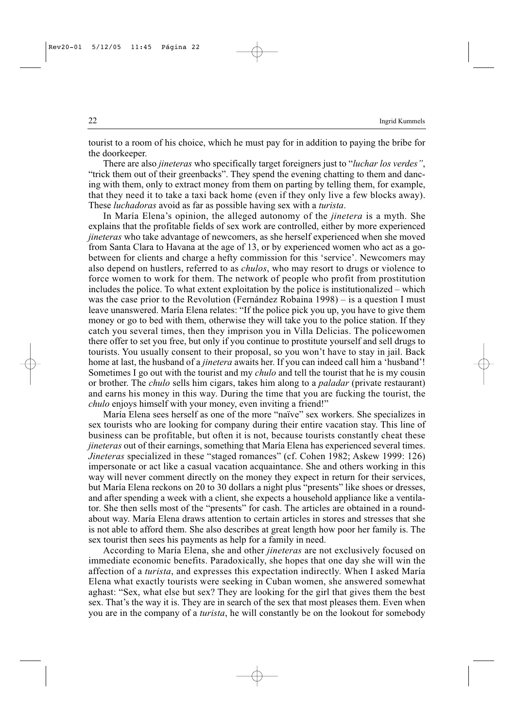tourist to a room of his choice, which he must pay for in addition to paying the bribe for the doorkeeper.

There are also *jineteras* who specifically target foreigners just to "*luchar los verdes"*, "trick them out of their greenbacks". They spend the evening chatting to them and dancing with them, only to extract money from them on parting by telling them, for example, that they need it to take a taxi back home (even if they only live a few blocks away). These *luchadoras* avoid as far as possible having sex with a *turista*.

In María Elena's opinion, the alleged autonomy of the *jinetera* is a myth. She explains that the profitable fields of sex work are controlled, either by more experienced *jineteras* who take advantage of newcomers, as she herself experienced when she moved from Santa Clara to Havana at the age of 13, or by experienced women who act as a gobetween for clients and charge a hefty commission for this 'service'. Newcomers may also depend on hustlers, referred to as *chulos*, who may resort to drugs or violence to force women to work for them. The network of people who profit from prostitution includes the police. To what extent exploitation by the police is institutionalized – which was the case prior to the Revolution (Fernández Robaina 1998) – is a question I must leave unanswered. María Elena relates: "If the police pick you up, you have to give them money or go to bed with them, otherwise they will take you to the police station. If they catch you several times, then they imprison you in Villa Delicias. The policewomen there offer to set you free, but only if you continue to prostitute yourself and sell drugs to tourists. You usually consent to their proposal, so you won't have to stay in jail. Back home at last, the husband of a *jinetera* awaits her. If you can indeed call him a 'husband'! Sometimes I go out with the tourist and my *chulo* and tell the tourist that he is my cousin or brother. The *chulo* sells him cigars, takes him along to a *paladar* (private restaurant) and earns his money in this way. During the time that you are fucking the tourist, the *chulo* enjoys himself with your money, even inviting a friend!"

María Elena sees herself as one of the more "naïve" sex workers. She specializes in sex tourists who are looking for company during their entire vacation stay. This line of business can be profitable, but often it is not, because tourists constantly cheat these *jineteras* out of their earnings, something that María Elena has experienced several times. *Jineteras* specialized in these "staged romances" (cf. Cohen 1982; Askew 1999: 126) impersonate or act like a casual vacation acquaintance. She and others working in this way will never comment directly on the money they expect in return for their services, but María Elena reckons on 20 to 30 dollars a night plus "presents" like shoes or dresses, and after spending a week with a client, she expects a household appliance like a ventilator. She then sells most of the "presents" for cash. The articles are obtained in a roundabout way. María Elena draws attention to certain articles in stores and stresses that she is not able to afford them. She also describes at great length how poor her family is. The sex tourist then sees his payments as help for a family in need.

According to María Elena, she and other *jineteras* are not exclusively focused on immediate economic benefits. Paradoxically, she hopes that one day she will win the affection of a *turista*, and expresses this expectation indirectly. When I asked María Elena what exactly tourists were seeking in Cuban women, she answered somewhat aghast: "Sex, what else but sex? They are looking for the girl that gives them the best sex. That's the way it is. They are in search of the sex that most pleases them. Even when you are in the company of a *turista*, he will constantly be on the lookout for somebody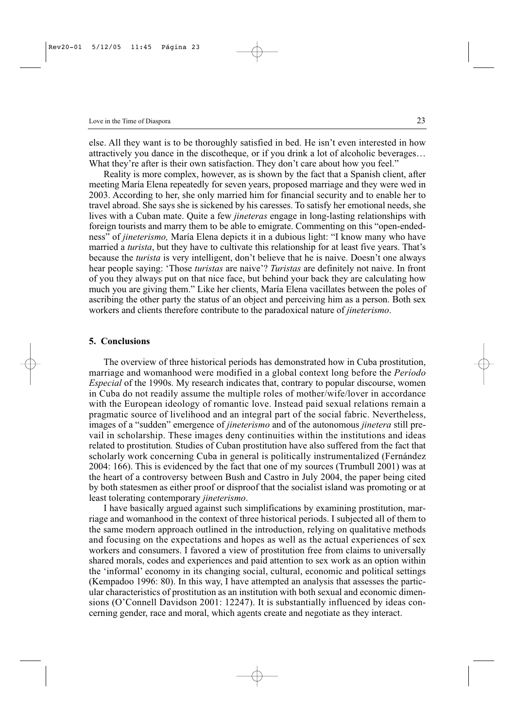else. All they want is to be thoroughly satisfied in bed. He isn't even interested in how attractively you dance in the discotheque, or if you drink a lot of alcoholic beverages… What they're after is their own satisfaction. They don't care about how you feel."

Reality is more complex, however, as is shown by the fact that a Spanish client, after meeting María Elena repeatedly for seven years, proposed marriage and they were wed in 2003. According to her, she only married him for financial security and to enable her to travel abroad. She says she is sickened by his caresses. To satisfy her emotional needs, she lives with a Cuban mate. Quite a few *jineteras* engage in long-lasting relationships with foreign tourists and marry them to be able to emigrate. Commenting on this "open-endedness" of *jineterismo,* María Elena depicts it in a dubious light: "I know many who have married a *turista*, but they have to cultivate this relationship for at least five years. That's because the *turista* is very intelligent, don't believe that he is naive. Doesn't one always hear people saying: 'Those *turistas* are naive'? *Turistas* are definitely not naive. In front of you they always put on that nice face, but behind your back they are calculating how much you are giving them." Like her clients, María Elena vacillates between the poles of ascribing the other party the status of an object and perceiving him as a person. Both sex workers and clients therefore contribute to the paradoxical nature of *jineterismo*.

## **5. Conclusions**

The overview of three historical periods has demonstrated how in Cuba prostitution, marriage and womanhood were modified in a global context long before the *Período Especial* of the 1990s. My research indicates that, contrary to popular discourse, women in Cuba do not readily assume the multiple roles of mother/wife/lover in accordance with the European ideology of romantic love. Instead paid sexual relations remain a pragmatic source of livelihood and an integral part of the social fabric. Nevertheless, images of a "sudden" emergence of *jineterismo* and of the autonomous *jinetera* still prevail in scholarship. These images deny continuities within the institutions and ideas related to prostitution*.* Studies of Cuban prostitution have also suffered from the fact that scholarly work concerning Cuba in general is politically instrumentalized (Fernández 2004: 166). This is evidenced by the fact that one of my sources (Trumbull 2001) was at the heart of a controversy between Bush and Castro in July 2004, the paper being cited by both statesmen as either proof or disproof that the socialist island was promoting or at least tolerating contemporary *jineterismo*.

I have basically argued against such simplifications by examining prostitution, marriage and womanhood in the context of three historical periods. I subjected all of them to the same modern approach outlined in the introduction, relying on qualitative methods and focusing on the expectations and hopes as well as the actual experiences of sex workers and consumers. I favored a view of prostitution free from claims to universally shared morals, codes and experiences and paid attention to sex work as an option within the 'informal' economy in its changing social, cultural, economic and political settings (Kempadoo 1996: 80). In this way, I have attempted an analysis that assesses the particular characteristics of prostitution as an institution with both sexual and economic dimensions (O'Connell Davidson 2001: 12247). It is substantially influenced by ideas concerning gender, race and moral, which agents create and negotiate as they interact.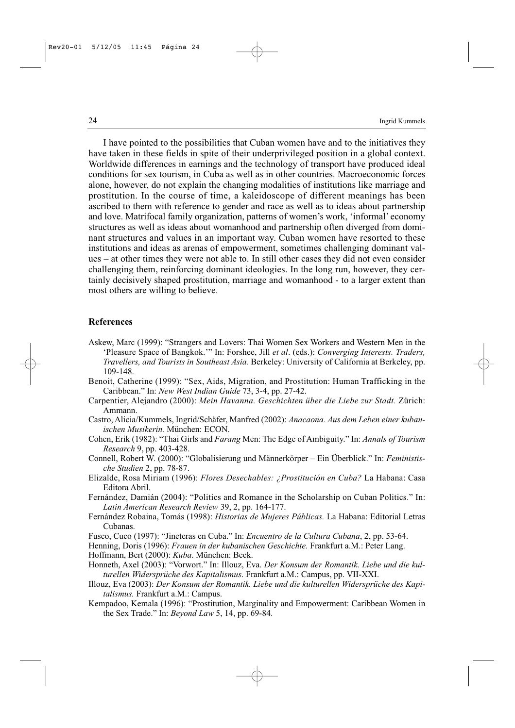I have pointed to the possibilities that Cuban women have and to the initiatives they have taken in these fields in spite of their underprivileged position in a global context. Worldwide differences in earnings and the technology of transport have produced ideal conditions for sex tourism, in Cuba as well as in other countries. Macroeconomic forces alone, however, do not explain the changing modalities of institutions like marriage and prostitution. In the course of time, a kaleidoscope of different meanings has been ascribed to them with reference to gender and race as well as to ideas about partnership and love. Matrifocal family organization, patterns of women's work, 'informal' economy structures as well as ideas about womanhood and partnership often diverged from dominant structures and values in an important way. Cuban women have resorted to these institutions and ideas as arenas of empowerment, sometimes challenging dominant values – at other times they were not able to. In still other cases they did not even consider challenging them, reinforcing dominant ideologies. In the long run, however, they certainly decisively shaped prostitution, marriage and womanhood - to a larger extent than most others are willing to believe.

## **References**

- Askew, Marc (1999): "Strangers and Lovers: Thai Women Sex Workers and Western Men in the 'Pleasure Space of Bangkok.'" In: Forshee, Jill *et al*. (eds.): *Converging Interests. Traders, Travellers, and Tourists in Southeast Asia.* Berkeley: University of California at Berkeley, pp. 109-148.
- Benoit, Catherine (1999): "Sex, Aids, Migration, and Prostitution: Human Trafficking in the Caribbean." In: *New West Indian Guide* 73, 3-4, pp. 27-42.
- Carpentier, Alejandro (2000): *Mein Havanna. Geschichten über die Liebe zur Stadt.* Zürich: Ammann.
- Castro, Alicia/Kummels, Ingrid/Schäfer, Manfred (2002): *Anacaona. Aus dem Leben einer kubanischen Musikerin.* München: ECON.
- Cohen, Erik (1982): "Thai Girls and *Farang* Men: The Edge of Ambiguity." In: *Annals of Tourism Research* 9, pp. 403-428.
- Connell, Robert W. (2000): "Globalisierung und Männerkörper Ein Überblick." In: *Feministische Studien* 2, pp. 78-87.
- Elizalde, Rosa Miriam (1996): *Flores Desechables: ¿Prostitución en Cuba?* La Habana: Casa Editora Abril.
- Fernández, Damián (2004): "Politics and Romance in the Scholarship on Cuban Politics." In: *Latin American Research Review* 39, 2, pp. 164-177.
- Fernández Robaina, Tomás (1998): *Historias de Mujeres Públicas.* La Habana: Editorial Letras Cubanas.
- Fusco, Cuco (1997): "Jineteras en Cuba." In: *Encuentro de la Cultura Cubana*, 2, pp. 53-64.

Henning, Doris (1996): *Frauen in der kubanischen Geschichte.* Frankfurt a.M.: Peter Lang.

Hoffmann, Bert (2000): *Kuba*. München: Beck.

- Honneth, Axel (2003): "Vorwort." In: Illouz, Eva. *Der Konsum der Romantik. Liebe und die kulturellen Widersprüche des Kapitalismus*. Frankfurt a.M.: Campus, pp. VII-XXI.
- Illouz, Eva (2003): *Der Konsum der Romantik. Liebe und die kulturellen Widersprüche des Kapitalismus.* Frankfurt a.M.: Campus.
- Kempadoo, Kemala (1996): "Prostitution, Marginality and Empowerment: Caribbean Women in the Sex Trade." In: *Beyond Law* 5, 14, pp. 69-84.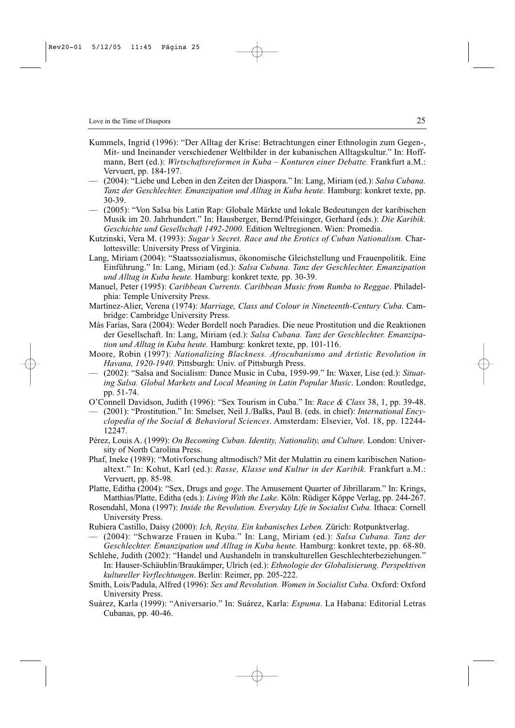- Kummels, Ingrid (1996): "Der Alltag der Krise: Betrachtungen einer Ethnologin zum Gegen-, Mit- und Ineinander verschiedener Weltbilder in der kubanischen Alltagskultur." In: Hoffmann, Bert (ed.): *Wirtschaftsreformen in Kuba – Konturen einer Debatte.* Frankfurt a.M.: Vervuert, pp. 184-197.
- –– (2004): "Liebe und Leben in den Zeiten der Diaspora." In: Lang, Miriam (ed.): *Salsa Cubana. Tanz der Geschlechter. Emanzipation und Alltag in Kuba heute.* Hamburg: konkret texte, pp. 30-39.
- –– (2005): "Von Salsa bis Latin Rap: Globale Märkte und lokale Bedeutungen der karibischen Musik im 20. Jahrhundert." In: Hausberger, Bernd/Pfeisinger, Gerhard (eds.): *Die Karibik. Geschichte und Gesellschaft 1492-2000.* Edition Weltregionen. Wien: Promedia.
- Kutzinski, Vera M. (1993): *Sugar's Secret. Race and the Erotics of Cuban Nationalism.* Charlottesville: University Press of Virginia.
- Lang, Miriam (2004): "Staatssozialismus, ökonomische Gleichstellung und Frauenpolitik. Eine Einführung." In: Lang, Miriam (ed.): *Salsa Cubana. Tanz der Geschlechter. Emanzipation und Alltag in Kuba heute.* Hamburg: konkret texte*,* pp. 30-39.
- Manuel, Peter (1995): *Caribbean Currents. Caribbean Music from Rumba to Reggae*. Philadelphia: Temple University Press.
- Martínez-Alier, Verena (1974): *Marriage, Class and Colour in Nineteenth-Century Cuba.* Cambridge: Cambridge University Press.
- Más Farías, Sara (2004): Weder Bordell noch Paradies. Die neue Prostitution und die Reaktionen der Gesellschaft. In: Lang, Miriam (ed.): *Salsa Cubana. Tanz der Geschlechter. Emanzipation und Alltag in Kuba heute.* Hamburg: konkret texte, pp. 101-116.
- Moore, Robin (1997): *Nationalizing Blackness. Afrocubanismo and Artistic Revolution in Havana, 1920-1940.* Pittsburgh: Univ. of Pittsburgh Press.
- –– (2002): "Salsa and Socialism: Dance Music in Cuba, 1959-99." In: Waxer, Lise (ed.): *Situating Salsa. Global Markets and Local Meaning in Latin Popular Music*. London: Routledge, pp. 51-74.
- O'Connell Davidson, Judith (1996): "Sex Tourism in Cuba." In: *Race & Class* 38, 1, pp. 39-48.
- –– (2001): "Prostitution." In: Smelser, Neil J./Balks, Paul B. (eds. in chief): *International Encyclopedia of the Social & Behavioral Sciences*. Amsterdam: Elsevier, Vol. 18, pp. 12244- 12247.
- Pérez, Louis A. (1999): *On Becoming Cuban. Identity, Nationality, and Culture.* London: University of North Carolina Press.
- Phaf, Ineke (1989): "Motivforschung altmodisch? Mit der Mulattin zu einem karibischen Nationaltext." In: Kohut, Karl (ed.): *Rasse, Klasse und Kultur in der Karibik.* Frankfurt a.M.: Vervuert, pp. 85-98.
- Platte, Editha (2004): "Sex, Drugs and *goge*. The Amusement Quarter of Jibrillaram." In: Krings, Matthias/Platte, Editha (eds.): *Living With the Lake*. Köln: Rüdiger Köppe Verlag, pp. 244-267.
- Rosendahl, Mona (1997): *Inside the Revolution. Everyday Life in Socialist Cuba.* Ithaca: Cornell University Press.
- Rubiera Castillo, Daisy (2000): *Ich, Reyita. Ein kubanisches Leben.* Zürich: Rotpunktverlag.
- –– (2004): "Schwarze Frauen in Kuba." In: Lang, Miriam (ed.): *Salsa Cubana. Tanz der Geschlechter. Emanzipation und Alltag in Kuba heute.* Hamburg: konkret texte, pp. 68-80.
- Schlehe, Judith (2002): "Handel und Aushandeln in transkulturellen Geschlechterbeziehungen." In: Hauser-Schäublin/Braukämper, Ulrich (ed.): *Ethnologie der Globalisierung. Perspektiven kultureller Verflechtungen*. Berlin: Reimer, pp. 205-222.
- Smith, Lois/Padula, Alfred (1996): *Sex and Revolution. Women in Socialist Cuba.* Oxford: Oxford University Press.
- Suárez, Karla (1999): "Aniversario." In: Suárez, Karla: *Espuma*. La Habana: Editorial Letras Cubanas, pp. 40-46.